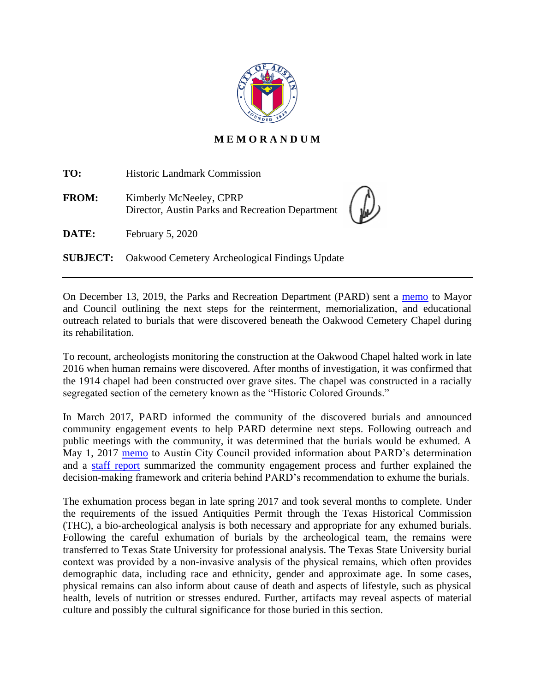

## **M E M O R A N D U M**

| TO:          | <b>Historic Landmark Commission</b>                                         |  |
|--------------|-----------------------------------------------------------------------------|--|
| <b>FROM:</b> | Kimberly McNeeley, CPRP<br>Director, Austin Parks and Recreation Department |  |
| DATE:        | February 5, 2020                                                            |  |
|              | <b>SUBJECT:</b> Oakwood Cemetery Archeological Findings Update              |  |

On December 13, 2019, the Parks and Recreation Department (PARD) sent a [memo](http://www.austintexas.gov/edims/pio/document.cfm?id=332920) to Mayor and Council outlining the next steps for the reinterment, memorialization, and educational outreach related to burials that were discovered beneath the Oakwood Cemetery Chapel during its rehabilitation.

To recount, archeologists monitoring the construction at the Oakwood Chapel halted work in late 2016 when human remains were discovered. After months of investigation, it was confirmed that the 1914 chapel had been constructed over grave sites. The chapel was constructed in a racially segregated section of the cemetery known as the "Historic Colored Grounds."

In March 2017, PARD informed the community of the discovered burials and announced community engagement events to help PARD determine next steps. Following outreach and public meetings with the community, it was determined that the burials would be exhumed. A May 1, 2017 [memo](https://www.austintexas.gov/edims/pio/document.cfm?id=276185) to Austin City Council provided information about PARD's determination and a [staff report](https://www.austintexas.gov/sites/default/files/files/Parks/Planning_and_Development/172704_FINAL_BINDER_OakwoodStaffReport.pdf) summarized the community engagement process and further explained the decision-making framework and criteria behind PARD's recommendation to exhume the burials.

The exhumation process began in late spring 2017 and took several months to complete. Under the requirements of the issued Antiquities Permit through the Texas Historical Commission (THC), a bio-archeological analysis is both necessary and appropriate for any exhumed burials. Following the careful exhumation of burials by the archeological team, the remains were transferred to Texas State University for professional analysis. The Texas State University burial context was provided by a non‐invasive analysis of the physical remains, which often provides demographic data, including race and ethnicity, gender and approximate age. In some cases, physical remains can also inform about cause of death and aspects of lifestyle, such as physical health, levels of nutrition or stresses endured. Further, artifacts may reveal aspects of material culture and possibly the cultural significance for those buried in this section.